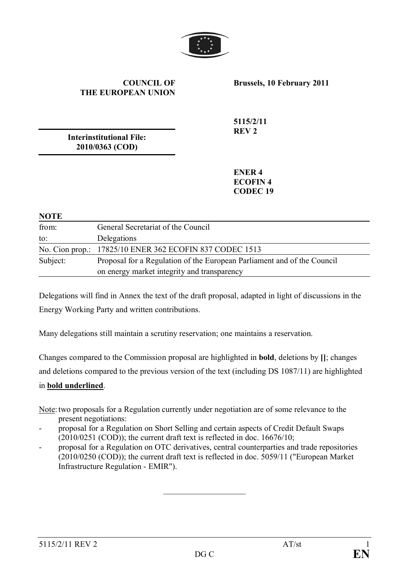

#### **COUNCIL OF THE EUROPEAN UNION**

**Brussels, 10 February 2011**

**Interinstitutional File: 2010/0363 (COD)**

**5115/2/11 REV 2**

**ENER 4 ECOFIN 4 CODEC 19**

#### **NOTE**

| .        |                                                                         |
|----------|-------------------------------------------------------------------------|
| from:    | General Secretariat of the Council                                      |
| to:      | Delegations                                                             |
|          | No. Cion prop.: 17825/10 ENER 362 ECOFIN 837 CODEC 1513                 |
| Subject: | Proposal for a Regulation of the European Parliament and of the Council |
|          | on energy market integrity and transparency                             |

Delegations will find in Annex the text of the draft proposal, adapted in light of discussions in the Energy Working Party and written contributions.

Many delegations still maintain a scrutiny reservation; one maintains a reservation.

Changes compared to the Commission proposal are highlighted in **bold**, deletions by **[]**; changes and deletions compared to the previous version of the text (including DS 1087/11) are highlighted in **bold underlined**.

Note:two proposals for a Regulation currently under negotiation are of some relevance to the present negotiations:

- proposal for a Regulation on Short Selling and certain aspects of Credit Default Swaps  $(2010/0251 \, (COD))$ ; the current draft text is reflected in doc. 16676/10;
- proposal for a Regulation on OTC derivatives, central counterparties and trade repositories (2010/0250 (COD)); the current draft text is reflected in doc. 5059/11 ("European Market Infrastructure Regulation - EMIR").

 $\overline{\phantom{a}}$  , where  $\overline{\phantom{a}}$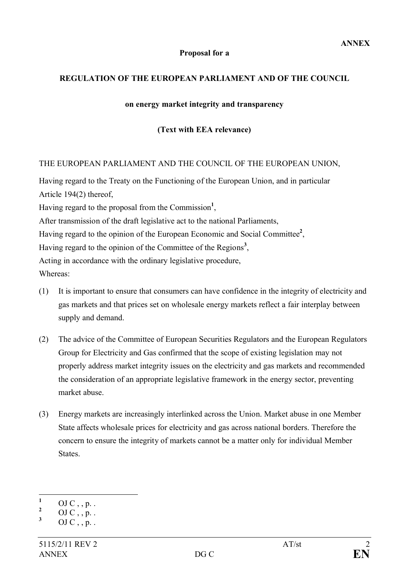#### **Proposal for a**

### **REGULATION OF THE EUROPEAN PARLIAMENT AND OF THE COUNCIL**

#### **on energy market integrity and transparency**

### **(Text with EEA relevance)**

#### THE EUROPEAN PARLIAMENT AND THE COUNCIL OF THE EUROPEAN UNION,

Having regard to the Treaty on the Functioning of the European Union, and in particular Article 194(2) thereof,

Having regard to the proposal from the Commission**<sup>1</sup>** ,

After transmission of the draft legislative act to the national Parliaments,

Having regard to the opinion of the European Economic and Social Committee**<sup>2</sup>** ,

Having regard to the opinion of the Committee of the Regions **3** ,

Acting in accordance with the ordinary legislative procedure,

Whereas:

- (1) It is important to ensure that consumers can have confidence in the integrity of electricity and gas markets and that prices set on wholesale energy markets reflect a fair interplay between supply and demand.
- (2) The advice of the Committee of European Securities Regulators and the European Regulators Group for Electricity and Gas confirmed that the scope of existing legislation may not properly address market integrity issues on the electricity and gas markets and recommended the consideration of an appropriate legislative framework in the energy sector, preventing market abuse.
- (3) Energy markets are increasingly interlinked across the Union. Market abuse in one Member State affects wholesale prices for electricity and gas across national borders. Therefore the concern to ensure the integrity of markets cannot be a matter only for individual Member States.

 $\frac{1}{2}$  OJ C , , p. .

 $\frac{2}{3}$  OJ C, , p. .

**<sup>3</sup>** OJ C , , p. .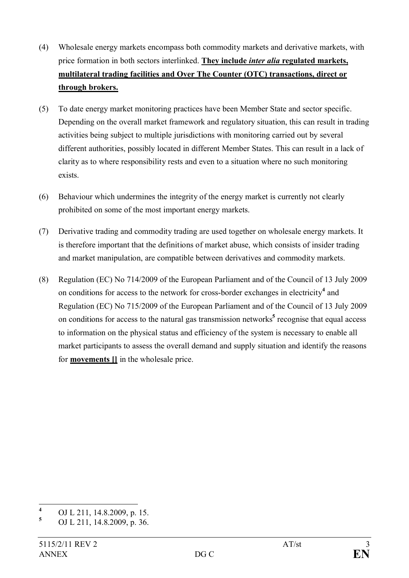- (4) Wholesale energy markets encompass both commodity markets and derivative markets, with price formation in both sectors interlinked. **They include** *inter alia* **regulated markets, multilateral trading facilities and Over The Counter (OTC) transactions, direct or through brokers.**
- (5) To date energy market monitoring practices have been Member State and sector specific. Depending on the overall market framework and regulatory situation, this can result in trading activities being subject to multiple jurisdictions with monitoring carried out by several different authorities, possibly located in different Member States. This can result in a lack of clarity as to where responsibility rests and even to a situation where no such monitoring exists.
- (6) Behaviour which undermines the integrity of the energy market is currently not clearly prohibited on some of the most important energy markets.
- (7) Derivative trading and commodity trading are used together on wholesale energy markets. It is therefore important that the definitions of market abuse, which consists of insider trading and market manipulation, are compatible between derivatives and commodity markets.
- (8) Regulation (EC) No 714/2009 of the European Parliament and of the Council of 13 July 2009 on conditions for access to the network for cross-border exchanges in electricity **4** and Regulation (EC) No 715/2009 of the European Parliament and of the Council of 13 July 2009 on conditions for access to the natural gas transmission networks**<sup>5</sup>** recognise that equal access to information on the physical status and efficiency of the system is necessary to enable all market participants to assess the overall demand and supply situation and identify the reasons for **movements []** in the wholesale price.

**<sup>4</sup>** OJ L 211, 14.8.2009, p. 15.

**<sup>5</sup>** OJ L 211, 14.8.2009, p. 36.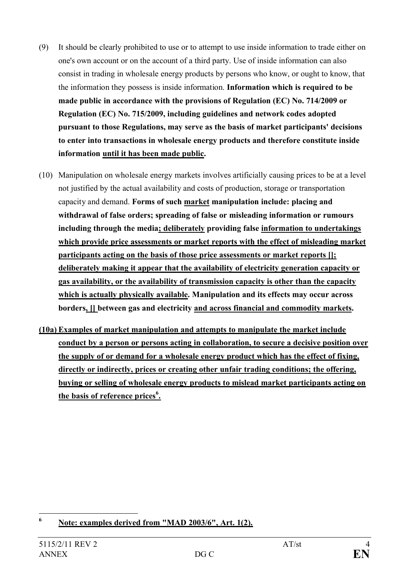- (9) It should be clearly prohibited to use or to attempt to use inside information to trade either on one's own account or on the account of a third party. Use of inside information can also consist in trading in wholesale energy products by persons who know, or ought to know, that the information they possess is inside information. **Information which is required to be made public in accordance with the provisions of Regulation (EC) No. 714/2009 or Regulation (EC) No. 715/2009, including guidelines and network codes adopted pursuant to those Regulations, may serve as the basis of market participants' decisions to enter into transactions in wholesale energy products and therefore constitute inside information until it has been made public.**
- (10) Manipulation on wholesale energy markets involves artificially causing prices to be at a level not justified by the actual availability and costs of production, storage or transportation capacity and demand. **Forms of such market manipulation include: placing and withdrawal of false orders; spreading of false or misleading information or rumours including through the media; deliberately providing false information to undertakings which provide price assessments or market reports with the effect of misleading market participants acting on the basis of those price assessments or market reports []; deliberately making it appear that the availability of electricity generation capacity or gas availability, or the availability of transmission capacity is other than the capacity which is actually physically available. Manipulation and its effects may occur across borders, [] between gas and electricity and across financial and commodity markets.**
- **(10a) Examples of market manipulation and attempts to manipulate the market include conduct by a person or persons acting in collaboration, to secure a decisive position over the supply of or demand for a wholesale energy product which has the effect of fixing, directly or indirectly, prices or creating other unfair trading conditions; the offering, buying or selling of wholesale energy products to mislead market participants acting on the basis of reference prices<sup>6</sup> .**

**<sup>6</sup> Note: examples derived from "MAD 2003/6", Art. 1(2).**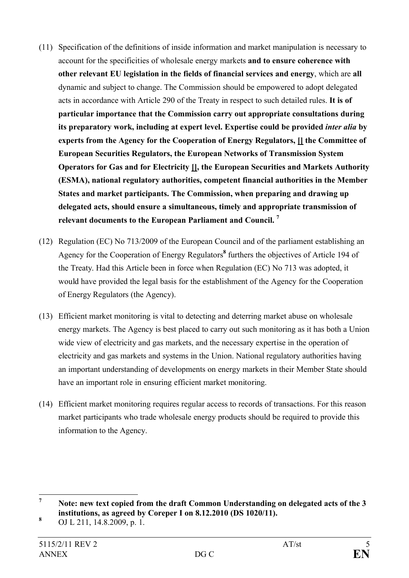- (11) Specification of the definitions of inside information and market manipulation is necessary to account for the specificities of wholesale energy markets **and to ensure coherence with other relevant EU legislation in the fields of financial services and energy**, which are **all** dynamic and subject to change. The Commission should be empowered to adopt delegated acts in accordance with Article 290 of the Treaty in respect to such detailed rules. **It is of particular importance that the Commission carry out appropriate consultations during its preparatory work, including at expert level. Expertise could be provided** *inter alia* **by experts from the Agency for the Cooperation of Energy Regulators, [] the Committee of European Securities Regulators, the European Networks of Transmission System Operators for Gas and for Electricity [], the European Securities and Markets Authority (ESMA), national regulatory authorities, competent financial authorities in the Member States and market participants. The Commission, when preparing and drawing up delegated acts, should ensure a simultaneous, timely and appropriate transmission of relevant documents to the European Parliament and Council. <sup>7</sup>**
- (12) Regulation (EC) No 713/2009 of the European Council and of the parliament establishing an Agency for the Cooperation of Energy Regulators**<sup>8</sup>** furthers the objectives of Article 194 of the Treaty. Had this Article been in force when Regulation (EC) No 713 was adopted, it would have provided the legal basis for the establishment of the Agency for the Cooperation of Energy Regulators (the Agency).
- (13) Efficient market monitoring is vital to detecting and deterring market abuse on wholesale energy markets. The Agency is best placed to carry out such monitoring as it has both a Union wide view of electricity and gas markets, and the necessary expertise in the operation of electricity and gas markets and systems in the Union. National regulatory authorities having an important understanding of developments on energy markets in their Member State should have an important role in ensuring efficient market monitoring.
- (14) Efficient market monitoring requires regular access to records of transactions. For this reason market participants who trade wholesale energy products should be required to provide this information to the Agency.

**<sup>7</sup> Note: new text copied from the draft Common Understanding on delegated acts of the 3 institutions, as agreed by Coreper I on 8.12.2010 (DS 1020/11).**

**<sup>8</sup>** OJ L 211, 14.8.2009, p. 1.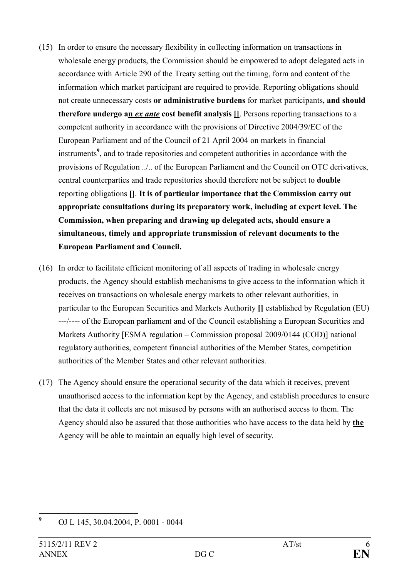- (15) In order to ensure the necessary flexibility in collecting information on transactions in wholesale energy products, the Commission should be empowered to adopt delegated acts in accordance with Article 290 of the Treaty setting out the timing, form and content of the information which market participant are required to provide. Reporting obligations should not create unnecessary costs **or administrative burdens** for market participants**, and should therefore undergo an** *ex ante* **cost benefit analysis []**. Persons reporting transactions to a competent authority in accordance with the provisions of Directive 2004/39/EC of the European Parliament and of the Council of 21 April 2004 on markets in financial instruments**<sup>9</sup>** , and to trade repositories and competent authorities in accordance with the provisions of Regulation ../.. of the European Parliament and the Council on OTC derivatives, central counterparties and trade repositories should therefore not be subject to **double** reporting obligations **[]**. **It is of particular importance that the Commission carry out appropriate consultations during its preparatory work, including at expert level. The Commission, when preparing and drawing up delegated acts, should ensure a simultaneous, timely and appropriate transmission of relevant documents to the European Parliament and Council.**
- (16) In order to facilitate efficient monitoring of all aspects of trading in wholesale energy products, the Agency should establish mechanisms to give access to the information which it receives on transactions on wholesale energy markets to other relevant authorities, in particular to the European Securities and Markets Authority **[]** established by Regulation (EU) ---/---- of the European parliament and of the Council establishing a European Securities and Markets Authority [ESMA regulation – Commission proposal 2009/0144 (COD)] national regulatory authorities, competent financial authorities of the Member States, competition authorities of the Member States and other relevant authorities.
- (17) The Agency should ensure the operational security of the data which it receives, prevent unauthorised access to the information kept by the Agency, and establish procedures to ensure that the data it collects are not misused by persons with an authorised access to them. The Agency should also be assured that those authorities who have access to the data held by **the** Agency will be able to maintain an equally high level of security.

**<sup>9</sup>** OJ L 145, 30.04.2004, P. 0001 - 0044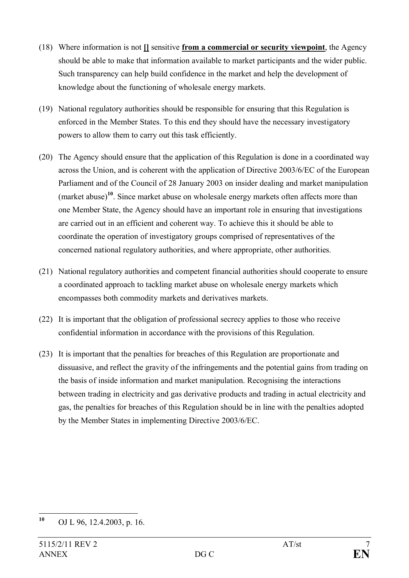- (18) Where information is not **[]** sensitive **from a commercial or security viewpoint**, the Agency should be able to make that information available to market participants and the wider public. Such transparency can help build confidence in the market and help the development of knowledge about the functioning of wholesale energy markets.
- (19) National regulatory authorities should be responsible for ensuring that this Regulation is enforced in the Member States. To this end they should have the necessary investigatory powers to allow them to carry out this task efficiently.
- (20) The Agency should ensure that the application of this Regulation is done in a coordinated way across the Union, and is coherent with the application of Directive 2003/6/EC of the European Parliament and of the Council of 28 January 2003 on insider dealing and market manipulation (market abuse)**<sup>10</sup>**. Since market abuse on wholesale energy markets often affects more than one Member State, the Agency should have an important role in ensuring that investigations are carried out in an efficient and coherent way. To achieve this it should be able to coordinate the operation of investigatory groups comprised of representatives of the concerned national regulatory authorities, and where appropriate, other authorities.
- (21) National regulatory authorities and competent financial authorities should cooperate to ensure a coordinated approach to tackling market abuse on wholesale energy markets which encompasses both commodity markets and derivatives markets.
- (22) It is important that the obligation of professional secrecy applies to those who receive confidential information in accordance with the provisions of this Regulation.
- (23) It is important that the penalties for breaches of this Regulation are proportionate and dissuasive, and reflect the gravity of the infringements and the potential gains from trading on the basis of inside information and market manipulation. Recognising the interactions between trading in electricity and gas derivative products and trading in actual electricity and gas, the penalties for breaches of this Regulation should be in line with the penalties adopted by the Member States in implementing Directive 2003/6/EC.

**<sup>10</sup>** OJ L 96, 12.4.2003, p. 16.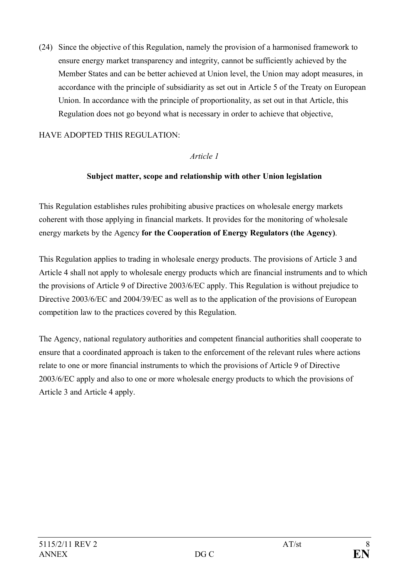(24) Since the objective of this Regulation, namely the provision of a harmonised framework to ensure energy market transparency and integrity, cannot be sufficiently achieved by the Member States and can be better achieved at Union level, the Union may adopt measures, in accordance with the principle of subsidiarity as set out in Article 5 of the Treaty on European Union. In accordance with the principle of proportionality, as set out in that Article, this Regulation does not go beyond what is necessary in order to achieve that objective,

## HAVE ADOPTED THIS REGULATION:

### *Article 1*

### **Subject matter, scope and relationship with other Union legislation**

This Regulation establishes rules prohibiting abusive practices on wholesale energy markets coherent with those applying in financial markets. It provides for the monitoring of wholesale energy markets by the Agency **for the Cooperation of Energy Regulators (the Agency)**.

This Regulation applies to trading in wholesale energy products. The provisions of Article 3 and Article 4 shall not apply to wholesale energy products which are financial instruments and to which the provisions of Article 9 of Directive 2003/6/EC apply. This Regulation is without prejudice to Directive 2003/6/EC and 2004/39/EC as well as to the application of the provisions of European competition law to the practices covered by this Regulation.

The Agency, national regulatory authorities and competent financial authorities shall cooperate to ensure that a coordinated approach is taken to the enforcement of the relevant rules where actions relate to one or more financial instruments to which the provisions of Article 9 of Directive 2003/6/EC apply and also to one or more wholesale energy products to which the provisions of Article 3 and Article 4 apply.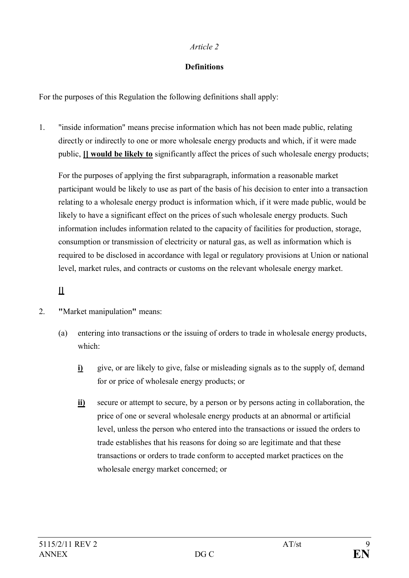## **Definitions**

For the purposes of this Regulation the following definitions shall apply:

1. "inside information" means precise information which has not been made public, relating directly or indirectly to one or more wholesale energy products and which, if it were made public, **[] would be likely to** significantly affect the prices of such wholesale energy products;

For the purposes of applying the first subparagraph, information a reasonable market participant would be likely to use as part of the basis of his decision to enter into a transaction relating to a wholesale energy product is information which, if it were made public, would be likely to have a significant effect on the prices of such wholesale energy products. Such information includes information related to the capacity of facilities for production, storage, consumption or transmission of electricity or natural gas, as well as information which is required to be disclosed in accordance with legal or regulatory provisions at Union or national level, market rules, and contracts or customs on the relevant wholesale energy market.

# **[]**

- 2. **"**Market manipulation**"** means:
	- (a) entering into transactions or the issuing of orders to trade in wholesale energy products, which:
		- **i)** give, or are likely to give, false or misleading signals as to the supply of, demand for or price of wholesale energy products; or
		- **ii)** secure or attempt to secure, by a person or by persons acting in collaboration, the price of one or several wholesale energy products at an abnormal or artificial level, unless the person who entered into the transactions or issued the orders to trade establishes that his reasons for doing so are legitimate and that these transactions or orders to trade conform to accepted market practices on the wholesale energy market concerned; or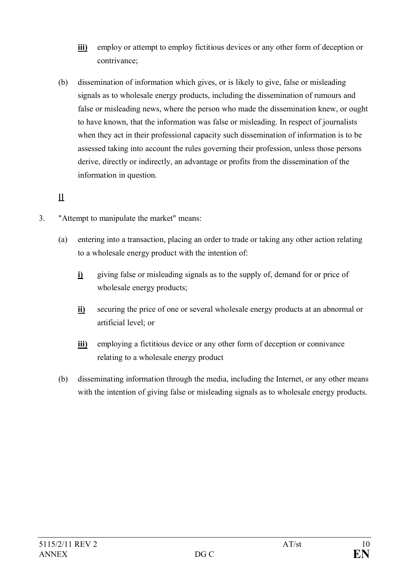- **iii)** employ or attempt to employ fictitious devices or any other form of deception or contrivance;
- (b) dissemination of information which gives, or is likely to give, false or misleading signals as to wholesale energy products, including the dissemination of rumours and false or misleading news, where the person who made the dissemination knew, or ought to have known, that the information was false or misleading. In respect of journalists when they act in their professional capacity such dissemination of information is to be assessed taking into account the rules governing their profession, unless those persons derive, directly or indirectly, an advantage or profits from the dissemination of the information in question.

# **[]**

- 3. "Attempt to manipulate the market" means:
	- (a) entering into a transaction, placing an order to trade or taking any other action relating to a wholesale energy product with the intention of:
		- **i)** giving false or misleading signals as to the supply of, demand for or price of wholesale energy products;
		- **ii)** securing the price of one or several wholesale energy products at an abnormal or artificial level; or
		- **iii)** employing a fictitious device or any other form of deception or connivance relating to a wholesale energy product
	- (b) disseminating information through the media, including the Internet, or any other means with the intention of giving false or misleading signals as to wholesale energy products.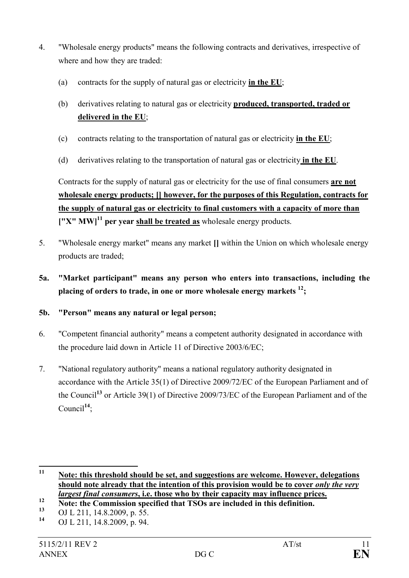- 4. "Wholesale energy products" means the following contracts and derivatives, irrespective of where and how they are traded:
	- (a) contracts for the supply of natural gas or electricity **in the EU**;
	- (b) derivatives relating to natural gas or electricity **produced, transported, traded or delivered in the EU**;
	- (c) contracts relating to the transportation of natural gas or electricity **in the EU**;
	- (d) derivatives relating to the transportation of natural gas or electricity **in the EU**.

Contracts for the supply of natural gas or electricity for the use of final consumers **are not wholesale energy products; [] however, for the purposes of this Regulation, contracts for the supply of natural gas or electricity to final customers with a capacity of more than ["X" MW]<sup>11</sup> per year shall be treated as** wholesale energy products.

- 5. "Wholesale energy market" means any market **[]** within the Union on which wholesale energy products are traded;
- **5a. "Market participant" means any person who enters into transactions, including the placing of orders to trade, in one or more wholesale energy markets <sup>12</sup>;**
- **5b. "Person" means any natural or legal person;**
- 6. "Competent financial authority" means a competent authority designated in accordance with the procedure laid down in Article 11 of Directive 2003/6/EC;
- 7. "National regulatory authority" means a national regulatory authority designated in accordance with the Article 35(1) of Directive 2009/72/EC of the European Parliament and of the Council**<sup>13</sup>** or Article 39(1) of Directive 2009/73/EC of the European Parliament and of the Council**<sup>14</sup>**;

**<sup>11</sup> Note: this threshold should be set, and suggestions are welcome. However, delegations should note already that the intention of this provision would be to cover** *only the very largest final consumers***, i.e. those who by their capacity may influence prices.**

<sup>12</sup> **Note:** the Commission specified that TSOs are included in this definition.

<sup>&</sup>lt;sup>13</sup> OJ L 211, 14.8.2009, p. 55.

**<sup>14</sup>** OJ L 211, 14.8.2009, p. 94.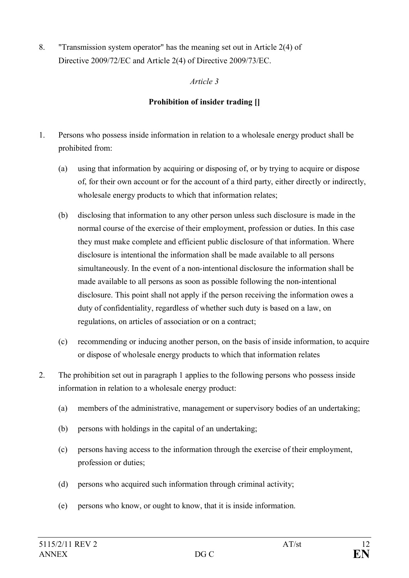8. "Transmission system operator" has the meaning set out in Article 2(4) of Directive 2009/72/EC and Article 2(4) of Directive 2009/73/EC.

## *Article 3*

## **Prohibition of insider trading []**

- 1. Persons who possess inside information in relation to a wholesale energy product shall be prohibited from:
	- (a) using that information by acquiring or disposing of, or by trying to acquire or dispose of, for their own account or for the account of a third party, either directly or indirectly, wholesale energy products to which that information relates;
	- (b) disclosing that information to any other person unless such disclosure is made in the normal course of the exercise of their employment, profession or duties. In this case they must make complete and efficient public disclosure of that information. Where disclosure is intentional the information shall be made available to all persons simultaneously. In the event of a non-intentional disclosure the information shall be made available to all persons as soon as possible following the non-intentional disclosure. This point shall not apply if the person receiving the information owes a duty of confidentiality, regardless of whether such duty is based on a law, on regulations, on articles of association or on a contract;
	- (c) recommending or inducing another person, on the basis of inside information, to acquire or dispose of wholesale energy products to which that information relates
- 2. The prohibition set out in paragraph 1 applies to the following persons who possess inside information in relation to a wholesale energy product:
	- (a) members of the administrative, management or supervisory bodies of an undertaking;
	- (b) persons with holdings in the capital of an undertaking;
	- (c) persons having access to the information through the exercise of their employment, profession or duties;
	- (d) persons who acquired such information through criminal activity;
	- (e) persons who know, or ought to know, that it is inside information.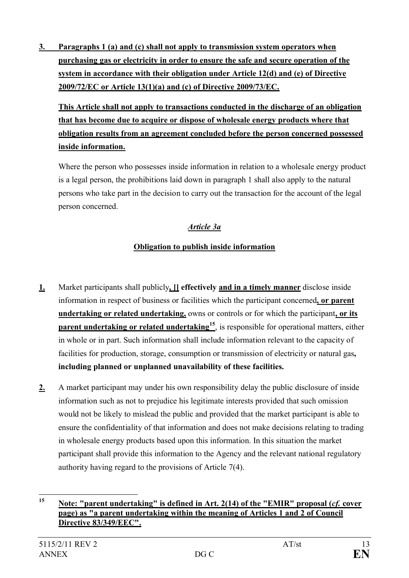**3. Paragraphs 1 (a) and (c) shall not apply to transmission system operators when purchasing gas or electricity in order to ensure the safe and secure operation of the system in accordance with their obligation under Article 12(d) and (e) of Directive 2009/72/EC or Article 13(1)(a) and (c) of Directive 2009/73/EC.**

**This Article shall not apply to transactions conducted in the discharge of an obligation that has become due to acquire or dispose of wholesale energy products where that obligation results from an agreement concluded before the person concerned possessed inside information.**

Where the person who possesses inside information in relation to a wholesale energy product is a legal person, the prohibitions laid down in paragraph 1 shall also apply to the natural persons who take part in the decision to carry out the transaction for the account of the legal person concerned.

# *Article 3a*

# **Obligation to publish inside information**

- **1.** Market participants shall publicly**, [] effectively and in a timely manner** disclose inside information in respect of business or facilities which the participant concerned**, or parent undertaking or related undertaking,** owns or controls or for which the participant**, or its parent undertaking or related undertaking<sup>15</sup>** , is responsible for operational matters, either in whole or in part. Such information shall include information relevant to the capacity of facilities for production, storage, consumption or transmission of electricity or natural gas**, including planned or unplanned unavailability of these facilities.**
- **2.** A market participant may under his own responsibility delay the public disclosure of inside information such as not to prejudice his legitimate interests provided that such omission would not be likely to mislead the public and provided that the market participant is able to ensure the confidentiality of that information and does not make decisions relating to trading in wholesale energy products based upon this information. In this situation the market participant shall provide this information to the Agency and the relevant national regulatory authority having regard to the provisions of Article 7(4).

**<sup>15</sup> Note: "parent undertaking" is defined in Art. 2(14) of the "EMIR" proposal (***cf.* **cover page) as "a parent undertaking within the meaning of Articles 1 and 2 of Council Directive 83/349/EEC".**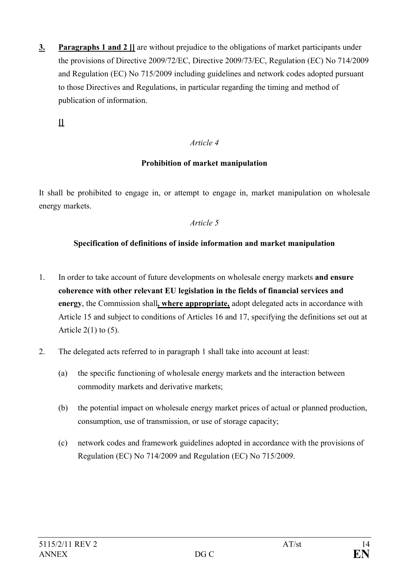**3. Paragraphs 1 and 2 []** are without prejudice to the obligations of market participants under the provisions of Directive 2009/72/EC, Directive 2009/73/EC, Regulation (EC) No 714/2009 and Regulation (EC) No 715/2009 including guidelines and network codes adopted pursuant to those Directives and Regulations, in particular regarding the timing and method of publication of information.

**[]**

### *Article 4*

### **Prohibition of market manipulation**

It shall be prohibited to engage in, or attempt to engage in, market manipulation on wholesale energy markets.

### *Article 5*

### **Specification of definitions of inside information and market manipulation**

- 1. In order to take account of future developments on wholesale energy markets **and ensure coherence with other relevant EU legislation in the fields of financial services and energy**, the Commission shall**, where appropriate,** adopt delegated acts in accordance with Article 15 and subject to conditions of Articles 16 and 17, specifying the definitions set out at Article  $2(1)$  to  $(5)$ .
- 2. The delegated acts referred to in paragraph 1 shall take into account at least:
	- (a) the specific functioning of wholesale energy markets and the interaction between commodity markets and derivative markets;
	- (b) the potential impact on wholesale energy market prices of actual or planned production, consumption, use of transmission, or use of storage capacity;
	- (c) network codes and framework guidelines adopted in accordance with the provisions of Regulation (EC) No 714/2009 and Regulation (EC) No 715/2009.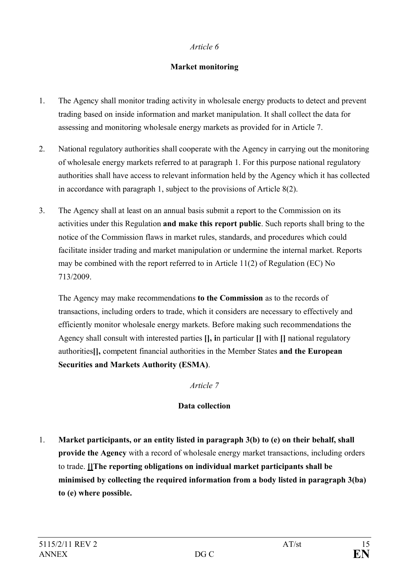## **Market monitoring**

- 1. The Agency shall monitor trading activity in wholesale energy products to detect and prevent trading based on inside information and market manipulation. It shall collect the data for assessing and monitoring wholesale energy markets as provided for in Article 7.
- 2. National regulatory authorities shall cooperate with the Agency in carrying out the monitoring of wholesale energy markets referred to at paragraph 1. For this purpose national regulatory authorities shall have access to relevant information held by the Agency which it has collected in accordance with paragraph 1, subject to the provisions of Article 8(2).
- 3. The Agency shall at least on an annual basis submit a report to the Commission on its activities under this Regulation **and make this report public**. Such reports shall bring to the notice of the Commission flaws in market rules, standards, and procedures which could facilitate insider trading and market manipulation or undermine the internal market. Reports may be combined with the report referred to in Article 11(2) of Regulation (EC) No 713/2009.

The Agency may make recommendations **to the Commission** as to the records of transactions, including orders to trade, which it considers are necessary to effectively and efficiently monitor wholesale energy markets. Before making such recommendations the Agency shall consult with interested parties **[], i**n particular **[]** with **[]** national regulatory authorities**[],** competent financial authorities in the Member States **and the European Securities and Markets Authority (ESMA)**.

*Article 7*

## **Data collection**

1. **Market participants, or an entity listed in paragraph 3(b) to (e) on their behalf, shall provide the Agency** with a record of wholesale energy market transactions, including orders to trade. **[]The reporting obligations on individual market participants shall be minimised by collecting the required information from a body listed in paragraph 3(ba) to (e) where possible.**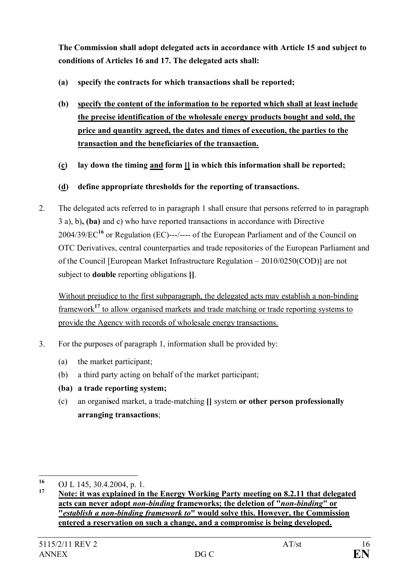**The Commission shall adopt delegated acts in accordance with Article 15 and subject to conditions of Articles 16 and 17. The delegated acts shall:**

- **(a) specify the contracts for which transactions shall be reported;**
- **(b) specify the content of the information to be reported which shall at least include the precise identification of the wholesale energy products bought and sold, the price and quantity agreed, the dates and times of execution, the parties to the transaction and the beneficiaries of the transaction.**
- **(c) lay down the timing and form [] in which this information shall be reported;**
- **(d) define appropriate thresholds for the reporting of transactions.**
- 2. The delegated acts referred to in paragraph 1 shall ensure that persons referred to in paragraph 3 a), b)**, (ba)** and c) who have reported transactions in accordance with Directive 2004/39/EC**<sup>16</sup>** or Regulation (EC)---/---- of the European Parliament and of the Council on OTC Derivatives, central counterparties and trade repositories of the European Parliament and of the Council [European Market Infrastructure Regulation – 2010/0250(COD)] are not subject to **double** reporting obligations **[]**.

Without prejudice to the first subparagraph, the delegated acts may establish a non-binding framework**<sup>17</sup>** to allow organised markets and trade matching or trade reporting systems to provide the Agency with records of wholesale energy transactions.

- 3. For the purposes of paragraph 1, information shall be provided by:
	- (a) the market participant;
	- (b) a third party acting on behalf of the market participant;
	- **(ba) a trade reporting system;**
	- (c) an organi**s**ed market, a trade-matching **[]** system **or other person professionally arranging transactions**;

**<sup>16</sup>** OJ L 145, 30.4.2004, p. 1.

**<sup>17</sup> Note: it was explained in the Energy Working Party meeting on 8.2.11 that delegated acts can never adopt** *non-binding* **frameworks; the deletion of "***non-binding***" or "***establish a non-binding framework to***" would solve this. However, the Commission entered a reservation on such a change, and a compromise is being developed.**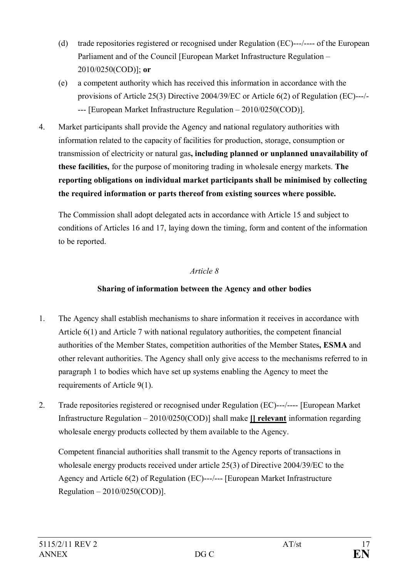- (d) trade repositories registered or recognised under Regulation (EC)---/---- of the European Parliament and of the Council [European Market Infrastructure Regulation – 2010/0250(COD)]; **or**
- (e) a competent authority which has received this information in accordance with the provisions of Article 25(3) Directive 2004/39/EC or Article 6(2) of Regulation (EC)---/- --- [European Market Infrastructure Regulation – 2010/0250(COD)].
- 4. Market participants shall provide the Agency and national regulatory authorities with information related to the capacity of facilities for production, storage, consumption or transmission of electricity or natural gas**, including planned or unplanned unavailability of these facilities,** for the purpose of monitoring trading in wholesale energy markets. **The reporting obligations on individual market participants shall be minimised by collecting the required information or parts thereof from existing sources where possible.**

The Commission shall adopt delegated acts in accordance with Article 15 and subject to conditions of Articles 16 and 17, laying down the timing, form and content of the information to be reported.

## *Article 8*

## **Sharing of information between the Agency and other bodies**

- 1. The Agency shall establish mechanisms to share information it receives in accordance with Article 6(1) and Article 7 with national regulatory authorities, the competent financial authorities of the Member States, competition authorities of the Member States**, ESMA** and other relevant authorities. The Agency shall only give access to the mechanisms referred to in paragraph 1 to bodies which have set up systems enabling the Agency to meet the requirements of Article 9(1).
- 2. Trade repositories registered or recognised under Regulation (EC)---/---- [European Market Infrastructure Regulation – 2010/0250(COD)] shall make **[] relevant** information regarding wholesale energy products collected by them available to the Agency.

Competent financial authorities shall transmit to the Agency reports of transactions in wholesale energy products received under article 25(3) of Directive 2004/39/EC to the Agency and Article 6(2) of Regulation (EC)---/--- [European Market Infrastructure Regulation – 2010/0250(COD)].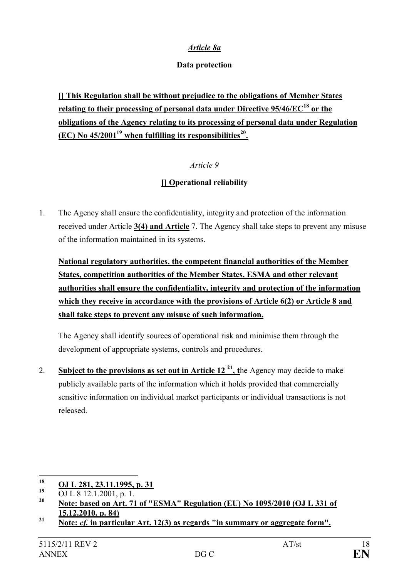## *Article 8a*

### **Data protection**

**[] This Regulation shall be without prejudice to the obligations of Member States relating to their processing of personal data under Directive 95/46/EC<sup>18</sup> or the obligations of the Agency relating to its processing of personal data under Regulation (EC) No 45/2001<sup>19</sup> when fulfilling its responsibilities<sup>20</sup> .**

## *Article 9*

## **[] Operational reliability**

1. The Agency shall ensure the confidentiality, integrity and protection of the information received under Article **3(4) and Article** 7. The Agency shall take steps to prevent any misuse of the information maintained in its systems.

**National regulatory authorities, the competent financial authorities of the Member States, competition authorities of the Member States, ESMA and other relevant authorities shall ensure the confidentiality, integrity and protection of the information which they receive in accordance with the provisions of Article 6(2) or Article 8 and shall take steps to prevent any misuse of such information.** 

The Agency shall identify sources of operational risk and minimise them through the development of appropriate systems, controls and procedures.

2. **Subject to the provisions as set out in Article**  $12^{21}$ **, the Agency may decide to make** publicly available parts of the information which it holds provided that commercially sensitive information on individual market participants or individual transactions is not released.

**<sup>18</sup> OJ L 281, 23.11.1995, p. 31**

**<sup>19</sup>** OJ L 8 12.1.2001, p. 1.

**<sup>20</sup> Note: based on Art. 71 of "ESMA" Regulation (EU) No 1095/2010 (OJ L 331 of 15.12.2010, p. 84)**

**<sup>21</sup> Note:** *cf.* **in particular Art. 12(3) as regards "in summary or aggregate form".**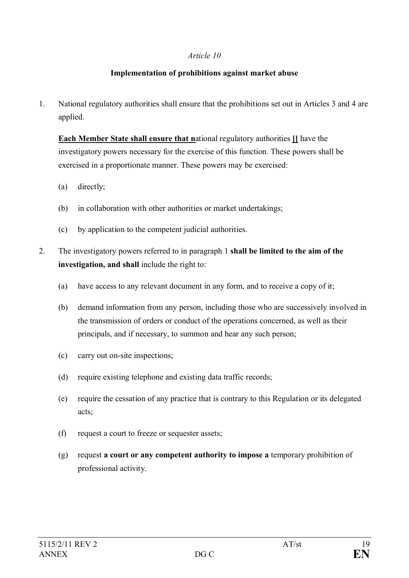### **Implementation of prohibitions against market abuse**

1. National regulatory authorities shall ensure that the prohibitions set out in Articles 3 and 4 are applied.

**Each Member State shall ensure that n**ational regulatory authorities **[]** have the investigatory powers necessary for the exercise of this function. These powers shall be exercised in a proportionate manner. These powers may be exercised:

- (a) directly;
- (b) in collaboration with other authorities or market undertakings;
- (c) by application to the competent judicial authorities.
- 2. The investigatory powers referred to in paragraph 1 **shall be limited to the aim of the investigation, and shall** include the right to:
	- (a) have access to any relevant document in any form, and to receive a copy of it;
	- (b) demand information from any person, including those who are successively involved in the transmission of orders or conduct of the operations concerned, as well as their principals, and if necessary, to summon and hear any such person;
	- (c) carry out on-site inspections;
	- (d) require existing telephone and existing data traffic records;
	- (e) require the cessation of any practice that is contrary to this Regulation or its delegated acts;
	- (f) request a court to freeze or sequester assets;
	- (g) request **a court or any competent authority to impose a** temporary prohibition of professional activity.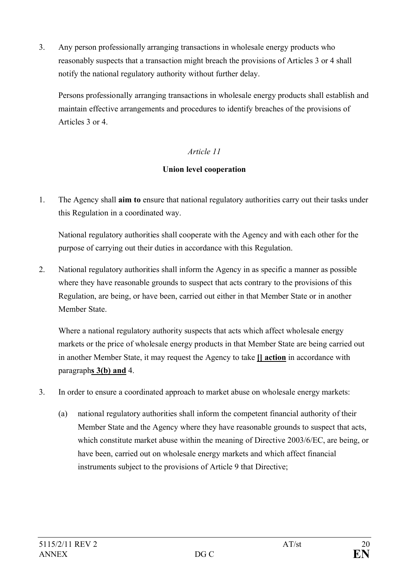3. Any person professionally arranging transactions in wholesale energy products who reasonably suspects that a transaction might breach the provisions of Articles 3 or 4 shall notify the national regulatory authority without further delay.

Persons professionally arranging transactions in wholesale energy products shall establish and maintain effective arrangements and procedures to identify breaches of the provisions of Articles 3 or 4.

## *Article 11*

## **Union level cooperation**

1. The Agency shall **aim to** ensure that national regulatory authorities carry out their tasks under this Regulation in a coordinated way.

National regulatory authorities shall cooperate with the Agency and with each other for the purpose of carrying out their duties in accordance with this Regulation.

2. National regulatory authorities shall inform the Agency in as specific a manner as possible where they have reasonable grounds to suspect that acts contrary to the provisions of this Regulation, are being, or have been, carried out either in that Member State or in another Member State.

Where a national regulatory authority suspects that acts which affect wholesale energy markets or the price of wholesale energy products in that Member State are being carried out in another Member State, it may request the Agency to take **[] action** in accordance with paragraph**s 3(b) and** 4.

- 3. In order to ensure a coordinated approach to market abuse on wholesale energy markets:
	- (a) national regulatory authorities shall inform the competent financial authority of their Member State and the Agency where they have reasonable grounds to suspect that acts, which constitute market abuse within the meaning of Directive 2003/6/EC, are being, or have been, carried out on wholesale energy markets and which affect financial instruments subject to the provisions of Article 9 that Directive;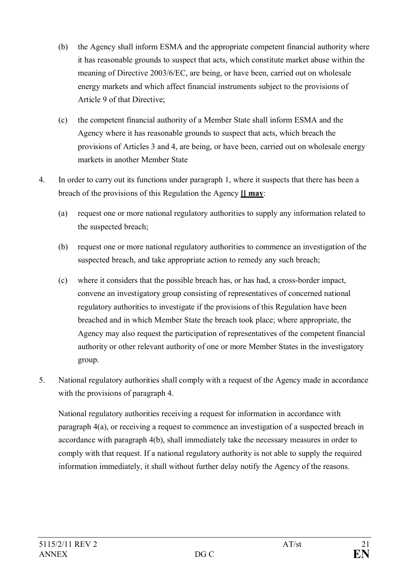- (b) the Agency shall inform ESMA and the appropriate competent financial authority where it has reasonable grounds to suspect that acts, which constitute market abuse within the meaning of Directive 2003/6/EC, are being, or have been, carried out on wholesale energy markets and which affect financial instruments subject to the provisions of Article 9 of that Directive;
- (c) the competent financial authority of a Member State shall inform ESMA and the Agency where it has reasonable grounds to suspect that acts, which breach the provisions of Articles 3 and 4, are being, or have been, carried out on wholesale energy markets in another Member State
- 4. In order to carry out its functions under paragraph 1, where it suspects that there has been a breach of the provisions of this Regulation the Agency **[] may**:
	- (a) request one or more national regulatory authorities to supply any information related to the suspected breach;
	- (b) request one or more national regulatory authorities to commence an investigation of the suspected breach, and take appropriate action to remedy any such breach;
	- (c) where it considers that the possible breach has, or has had, a cross-border impact, convene an investigatory group consisting of representatives of concerned national regulatory authorities to investigate if the provisions of this Regulation have been breached and in which Member State the breach took place; where appropriate, the Agency may also request the participation of representatives of the competent financial authority or other relevant authority of one or more Member States in the investigatory group.
- 5. National regulatory authorities shall comply with a request of the Agency made in accordance with the provisions of paragraph 4.

National regulatory authorities receiving a request for information in accordance with paragraph 4(a), or receiving a request to commence an investigation of a suspected breach in accordance with paragraph 4(b), shall immediately take the necessary measures in order to comply with that request. If a national regulatory authority is not able to supply the required information immediately, it shall without further delay notify the Agency of the reasons.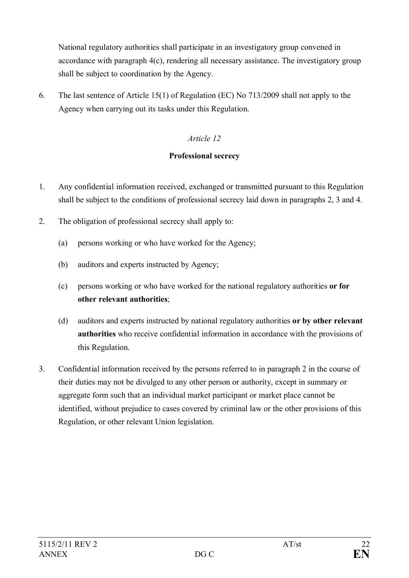National regulatory authorities shall participate in an investigatory group convened in accordance with paragraph 4(c), rendering all necessary assistance. The investigatory group shall be subject to coordination by the Agency.

6. The last sentence of Article 15(1) of Regulation (EC) No 713/2009 shall not apply to the Agency when carrying out its tasks under this Regulation.

## *Article 12*

## **Professional secrecy**

- 1. Any confidential information received, exchanged or transmitted pursuant to this Regulation shall be subject to the conditions of professional secrecy laid down in paragraphs 2, 3 and 4.
- 2. The obligation of professional secrecy shall apply to:
	- (a) persons working or who have worked for the Agency;
	- (b) auditors and experts instructed by Agency;
	- (c) persons working or who have worked for the national regulatory authorities **or for other relevant authorities**;
	- (d) auditors and experts instructed by national regulatory authorities **or by other relevant authorities** who receive confidential information in accordance with the provisions of this Regulation.
- 3. Confidential information received by the persons referred to in paragraph 2 in the course of their duties may not be divulged to any other person or authority, except in summary or aggregate form such that an individual market participant or market place cannot be identified, without prejudice to cases covered by criminal law or the other provisions of this Regulation, or other relevant Union legislation.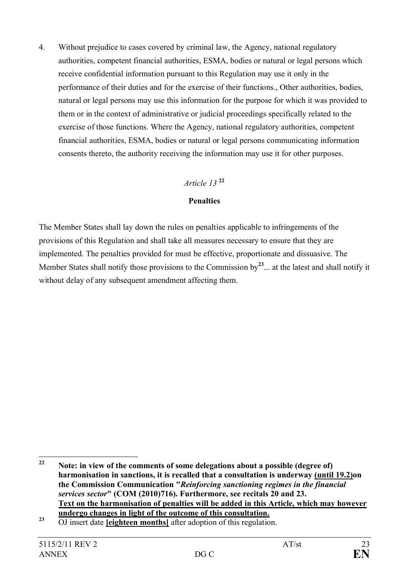4. Without prejudice to cases covered by criminal law, the Agency, national regulatory authorities, competent financial authorities, ESMA, bodies or natural or legal persons which receive confidential information pursuant to this Regulation may use it only in the performance of their duties and for the exercise of their functions., Other authorities, bodies, natural or legal persons may use this information for the purpose for which it was provided to them or in the context of administrative or judicial proceedings specifically related to the exercise of those functions. Where the Agency, national regulatory authorities, competent financial authorities, ESMA, bodies or natural or legal persons communicating information consents thereto, the authority receiving the information may use it for other purposes.

## *Article 13* **<sup>22</sup>**

### **Penalties**

The Member States shall lay down the rules on penalties applicable to infringements of the provisions of this Regulation and shall take all measures necessary to ensure that they are implemented. The penalties provided for must be effective, proportionate and dissuasive. The Member States shall notify those provisions to the Commission by**<sup>23</sup>**... at the latest and shall notify it without delay of any subsequent amendment affecting them.

**<sup>22</sup> Note: in view of the comments of some delegations about a possible (degree of) harmonisation in sanctions, it is recalled that a consultation is underway (until 19.2)on the Commission Communication "***Reinforcing sanctioning regimes in the financial services sector***" (COM (2010)716). Furthermore, see recitals 20 and 23. Text on the harmonisation of penalties will be added in this Article, which may however undergo changes in light of the outcome of this consultation.**

**<sup>23</sup>** OJ insert date **[eighteen months]** after adoption of this regulation.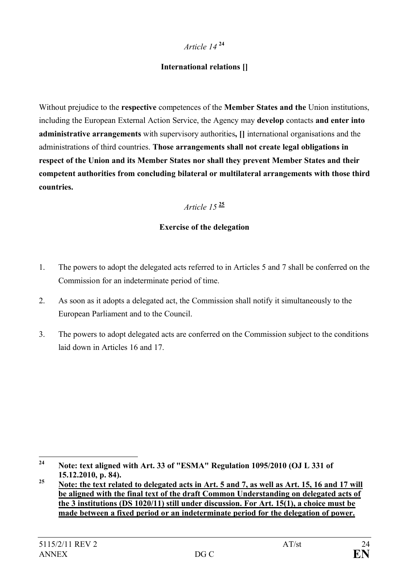# *Article 14* **<sup>24</sup>**

## **International relations []**

Without prejudice to the **respective** competences of the **Member States and the** Union institutions, including the European External Action Service, the Agency may **develop** contacts **and enter into administrative arrangements** with supervisory authorities**, []** international organisations and the administrations of third countries. **Those arrangements shall not create legal obligations in respect of the Union and its Member States nor shall they prevent Member States and their competent authorities from concluding bilateral or multilateral arrangements with those third countries.**

## *Article 15* **<sup>25</sup>**

## **Exercise of the delegation**

- 1. The powers to adopt the delegated acts referred to in Articles 5 and 7 shall be conferred on the Commission for an indeterminate period of time.
- 2. As soon as it adopts a delegated act, the Commission shall notify it simultaneously to the European Parliament and to the Council.
- 3. The powers to adopt delegated acts are conferred on the Commission subject to the conditions laid down in Articles 16 and 17

**<sup>24</sup> Note: text aligned with Art. 33 of "ESMA" Regulation 1095/2010 (OJ L 331 of 15.12.2010, p. 84).**

<sup>&</sup>lt;sup>25</sup> Note: the text related to delegated acts in Art. 5 and 7, as well as Art. 15, 16 and 17 will **be aligned with the final text of the draft Common Understanding on delegated acts of the 3 institutions (DS 1020/11) still under discussion. For Art. 15(1), a choice must be made between a fixed period or an indeterminate period for the delegation of power.**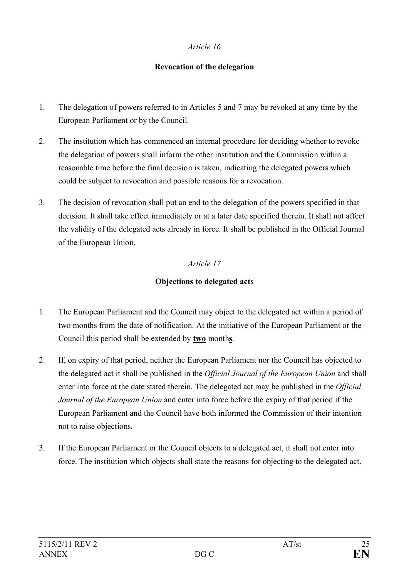## **Revocation of the delegation**

- 1. The delegation of powers referred to in Articles 5 and 7 may be revoked at any time by the European Parliament or by the Council.
- 2. The institution which has commenced an internal procedure for deciding whether to revoke the delegation of powers shall inform the other institution and the Commission within a reasonable time before the final decision is taken, indicating the delegated powers which could be subject to revocation and possible reasons for a revocation.
- 3. The decision of revocation shall put an end to the delegation of the powers specified in that decision. It shall take effect immediately or at a later date specified therein. It shall not affect the validity of the delegated acts already in force. It shall be published in the Official Journal of the European Union.

## *Article 17*

## **Objections to delegated acts**

- 1. The European Parliament and the Council may object to the delegated act within a period of two months from the date of notification. At the initiative of the European Parliament or the Council this period shall be extended by **two** month**s**.
- 2. If, on expiry of that period, neither the European Parliament nor the Council has objected to the delegated act it shall be published in the *Official Journal of the European Union* and shall enter into force at the date stated therein. The delegated act may be published in the *Official Journal of the European Union* and enter into force before the expiry of that period if the European Parliament and the Council have both informed the Commission of their intention not to raise objections.
- 3. If the European Parliament or the Council objects to a delegated act, it shall not enter into force. The institution which objects shall state the reasons for objecting to the delegated act.